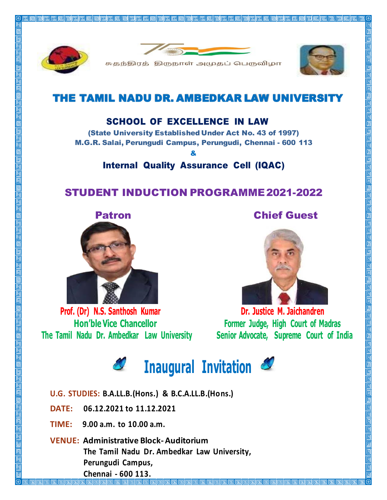



<u> In a comportable de la comportable de la comportable de la comportable de la comportable de la comportable d</u>





## THE TAMIL NADU DR. AMBEDKAR LAW UNIVERSITY

## SCHOOL OF EXCELLENCE IN LAW

(State University Established Under Act No. 43 of 1997) M.G.R. Salai, Perungudi Campus, Perungudi, Chennai - 600 113

&

Internal Quality Assurance Cell (IQAC)

## STUDENT INDUCTION PROGRAMME2021-2022



**Prof. (Dr) N.S. Santhosh Kumar Hon'ble Vice Chancellor The Tamil Nadu Dr. Ambedkar Law University**



**Dr. Justice M. Jaichandren Former Judge, High Court of Madras Senior Advocate, Supreme Court of India**



- **U.G. STUDIES: B.A.LL.B.(Hons.) & B.C.A.LL.B.(Hons.)**
- **DATE: 06.12.2021 to 11.12.2021**
- **TIME: 9.00 a.m. to 10.00 a.m.**
- **VENUE: Administrative Block-Auditorium The Tamil Nadu Dr. Ambedkar Law University, Perungudi Campus, Chennai - 600 113.**